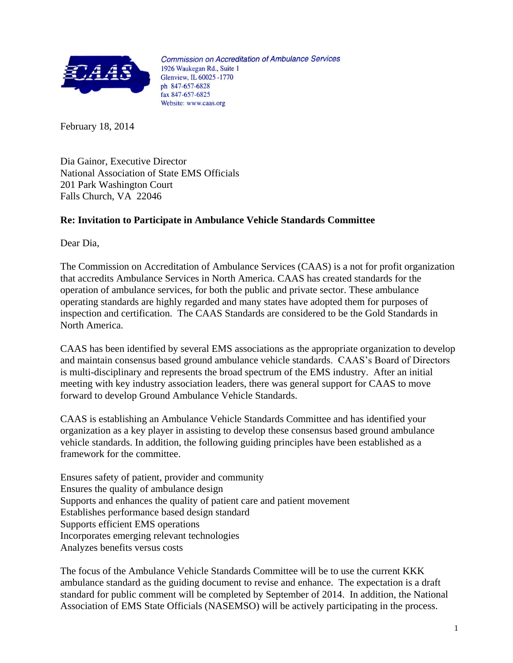

**Commission on Accreditation of Ambulance Services** 1926 Waukegan Rd., Suite 1 Glenview, IL 60025 - 1770 ph 847-657-6828 fax 847-657-6825 Website: www.caas.org

February 18, 2014

Dia Gainor, Executive Director National Association of State EMS Officials 201 Park Washington Court Falls Church, VA 22046

## **Re: Invitation to Participate in Ambulance Vehicle Standards Committee**

Dear Dia,

The Commission on Accreditation of Ambulance Services (CAAS) is a not for profit organization that accredits Ambulance Services in North America. CAAS has created standards for the operation of ambulance services, for both the public and private sector. These ambulance operating standards are highly regarded and many states have adopted them for purposes of inspection and certification. The CAAS Standards are considered to be the Gold Standards in North America.

CAAS has been identified by several EMS associations as the appropriate organization to develop and maintain consensus based ground ambulance vehicle standards. CAAS's Board of Directors is multi-disciplinary and represents the broad spectrum of the EMS industry. After an initial meeting with key industry association leaders, there was general support for CAAS to move forward to develop Ground Ambulance Vehicle Standards.

CAAS is establishing an Ambulance Vehicle Standards Committee and has identified your organization as a key player in assisting to develop these consensus based ground ambulance vehicle standards. In addition, the following guiding principles have been established as a framework for the committee.

Ensures safety of patient, provider and community Ensures the quality of ambulance design Supports and enhances the quality of patient care and patient movement Establishes performance based design standard Supports efficient EMS operations Incorporates emerging relevant technologies Analyzes benefits versus costs

The focus of the Ambulance Vehicle Standards Committee will be to use the current KKK ambulance standard as the guiding document to revise and enhance. The expectation is a draft standard for public comment will be completed by September of 2014. In addition, the National Association of EMS State Officials (NASEMSO) will be actively participating in the process.